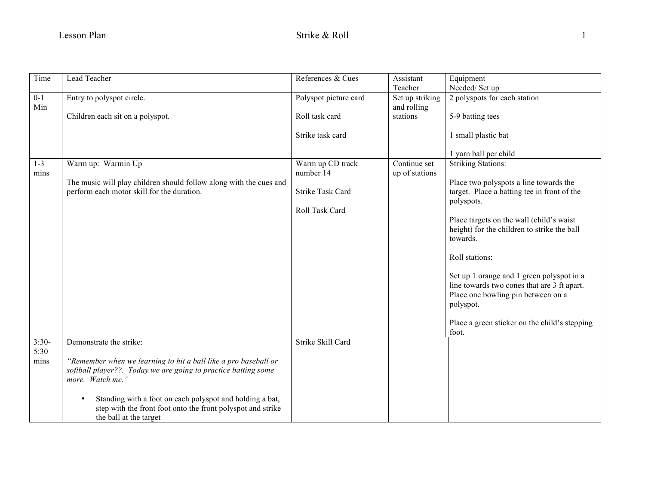| Time            | Lead Teacher                                                                                                                                                   | References & Cues       | Assistant                  | Equipment                                                                                                                                   |
|-----------------|----------------------------------------------------------------------------------------------------------------------------------------------------------------|-------------------------|----------------------------|---------------------------------------------------------------------------------------------------------------------------------------------|
| $0 - 1$         | Entry to polyspot circle.                                                                                                                                      | Polyspot picture card   | Teacher<br>Set up striking | Needed/Set up<br>2 polyspots for each station                                                                                               |
| Min             |                                                                                                                                                                |                         | and rolling                |                                                                                                                                             |
|                 | Children each sit on a polyspot.                                                                                                                               | Roll task card          | stations                   | 5-9 batting tees                                                                                                                            |
|                 |                                                                                                                                                                | Strike task card        |                            | 1 small plastic bat                                                                                                                         |
|                 |                                                                                                                                                                |                         |                            | 1 yarn ball per child                                                                                                                       |
| $1 - 3$         | Warm up: Warmin Up                                                                                                                                             | Warm up CD track        | Continue set               | <b>Striking Stations:</b>                                                                                                                   |
| mins            | The music will play children should follow along with the cues and                                                                                             | number 14               | up of stations             | Place two polyspots a line towards the                                                                                                      |
|                 | perform each motor skill for the duration.                                                                                                                     | <b>Strike Task Card</b> |                            | target. Place a batting tee in front of the<br>polyspots.                                                                                   |
|                 |                                                                                                                                                                | Roll Task Card          |                            |                                                                                                                                             |
|                 |                                                                                                                                                                |                         |                            | Place targets on the wall (child's waist<br>height) for the children to strike the ball<br>towards.                                         |
|                 |                                                                                                                                                                |                         |                            | Roll stations:                                                                                                                              |
|                 |                                                                                                                                                                |                         |                            | Set up 1 orange and 1 green polyspot in a<br>line towards two cones that are 3 ft apart.<br>Place one bowling pin between on a<br>polyspot. |
|                 |                                                                                                                                                                |                         |                            | Place a green sticker on the child's stepping<br>foot.                                                                                      |
| $3:30-$<br>5:30 | Demonstrate the strike:                                                                                                                                        | Strike Skill Card       |                            |                                                                                                                                             |
| mins            | "Remember when we learning to hit a ball like a pro baseball or<br>softball player??. Today we are going to practice batting some<br>more. Watch me."          |                         |                            |                                                                                                                                             |
|                 | Standing with a foot on each polyspot and holding a bat,<br>$\bullet$<br>step with the front foot onto the front polyspot and strike<br>the ball at the target |                         |                            |                                                                                                                                             |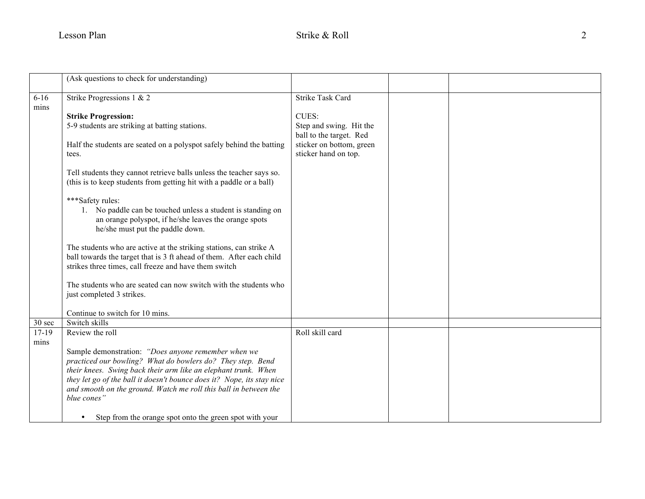|          | (Ask questions to check for understanding)                                                                                                 |                          |  |
|----------|--------------------------------------------------------------------------------------------------------------------------------------------|--------------------------|--|
|          |                                                                                                                                            |                          |  |
| $6 - 16$ | Strike Progressions 1 & 2                                                                                                                  | <b>Strike Task Card</b>  |  |
| mins     |                                                                                                                                            |                          |  |
|          | <b>Strike Progression:</b>                                                                                                                 | CUES:                    |  |
|          | 5-9 students are striking at batting stations.                                                                                             | Step and swing. Hit the  |  |
|          |                                                                                                                                            | ball to the target. Red  |  |
|          | Half the students are seated on a polyspot safely behind the batting                                                                       | sticker on bottom, green |  |
|          | tees.                                                                                                                                      | sticker hand on top.     |  |
|          | Tell students they cannot retrieve balls unless the teacher says so.                                                                       |                          |  |
|          | (this is to keep students from getting hit with a paddle or a ball)                                                                        |                          |  |
|          |                                                                                                                                            |                          |  |
|          | ***Safety rules:                                                                                                                           |                          |  |
|          | 1. No paddle can be touched unless a student is standing on                                                                                |                          |  |
|          | an orange polyspot, if he/she leaves the orange spots                                                                                      |                          |  |
|          | he/she must put the paddle down.                                                                                                           |                          |  |
|          |                                                                                                                                            |                          |  |
|          | The students who are active at the striking stations, can strike A<br>ball towards the target that is 3 ft ahead of them. After each child |                          |  |
|          | strikes three times, call freeze and have them switch                                                                                      |                          |  |
|          |                                                                                                                                            |                          |  |
|          | The students who are seated can now switch with the students who                                                                           |                          |  |
|          | just completed 3 strikes.                                                                                                                  |                          |  |
|          |                                                                                                                                            |                          |  |
|          | Continue to switch for 10 mins.                                                                                                            |                          |  |
| 30 sec   | Switch skills                                                                                                                              |                          |  |
| $17-19$  | Review the roll                                                                                                                            | Roll skill card          |  |
| mins     | Sample demonstration: "Does anyone remember when we                                                                                        |                          |  |
|          | practiced our bowling? What do bowlers do? They step. Bend                                                                                 |                          |  |
|          | their knees. Swing back their arm like an elephant trunk. When                                                                             |                          |  |
|          | they let go of the ball it doesn't bounce does it? Nope, its stay nice                                                                     |                          |  |
|          | and smooth on the ground. Watch me roll this ball in between the                                                                           |                          |  |
|          | blue cones"                                                                                                                                |                          |  |
|          |                                                                                                                                            |                          |  |
|          | Step from the orange spot onto the green spot with your                                                                                    |                          |  |